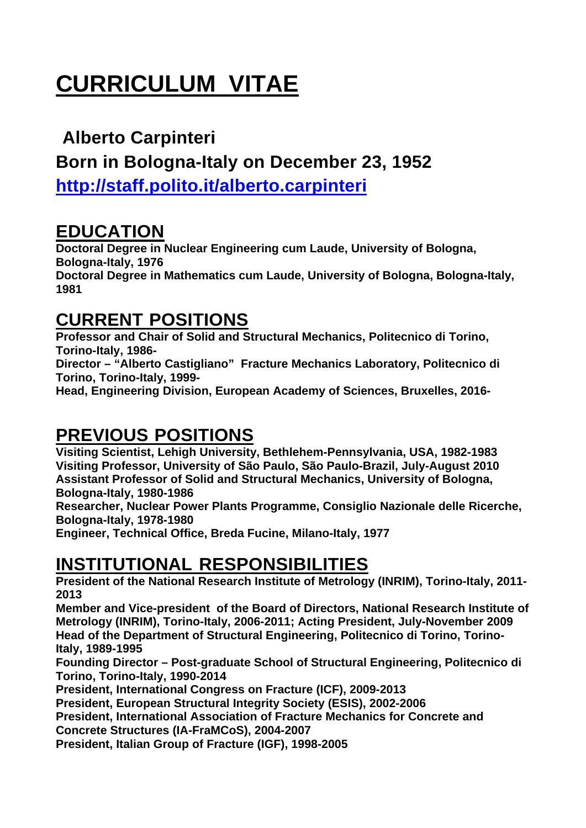# **CURRICULUM VITAE**

#### **Alberto Carpinteri**

**Born in Bologna-Italy on December 23, 1952** 

**http://staff.polito.it/alberto.carpinteri**

#### **EDUCATION**

**1981** 

**Doctoral Degree in Nuclear Engineering cum Laude, University of Bologna, Bologna-Italy, 1976 Doctoral Degree in Mathematics cum Laude, University of Bologna, Bologna-Italy,** 

#### **CURRENT POSITIONS**

**Professor and Chair of Solid and Structural Mechanics, Politecnico di Torino, Torino-Italy, 1986-** 

**Director – "Alberto Castigliano" Fracture Mechanics Laboratory, Politecnico di Torino, Torino-Italy, 1999-** 

**Head, Engineering Division, European Academy of Sciences, Bruxelles, 2016-** 

### **PREVIOUS POSITIONS**

**Visiting Scientist, Lehigh University, Bethlehem-Pennsylvania, USA, 1982-1983 Visiting Professor, University of São Paulo, São Paulo-Brazil, July-August 2010 Assistant Professor of Solid and Structural Mechanics, University of Bologna, Bologna-Italy, 1980-1986** 

**Researcher, Nuclear Power Plants Programme, Consiglio Nazionale delle Ricerche, Bologna-Italy, 1978-1980** 

**Engineer, Technical Office, Breda Fucine, Milano-Italy, 1977** 

#### **INSTITUTIONAL RESPONSIBILITIES**

**President of the National Research Institute of Metrology (INRIM), Torino-Italy, 2011- 2013** 

**Member and Vice-president of the Board of Directors, National Research Institute of Metrology (INRIM), Torino-Italy, 2006-2011; Acting President, July-November 2009 Head of the Department of Structural Engineering, Politecnico di Torino, Torino-Italy, 1989-1995** 

**Founding Director – Post-graduate School of Structural Engineering, Politecnico di Torino, Torino-Italy, 1990-2014** 

**President, International Congress on Fracture (ICF), 2009-2013** 

**President, European Structural Integrity Society (ESIS), 2002-2006** 

**President, International Association of Fracture Mechanics for Concrete and Concrete Structures (IA-FraMCoS), 2004-2007** 

**President, Italian Group of Fracture (IGF), 1998-2005**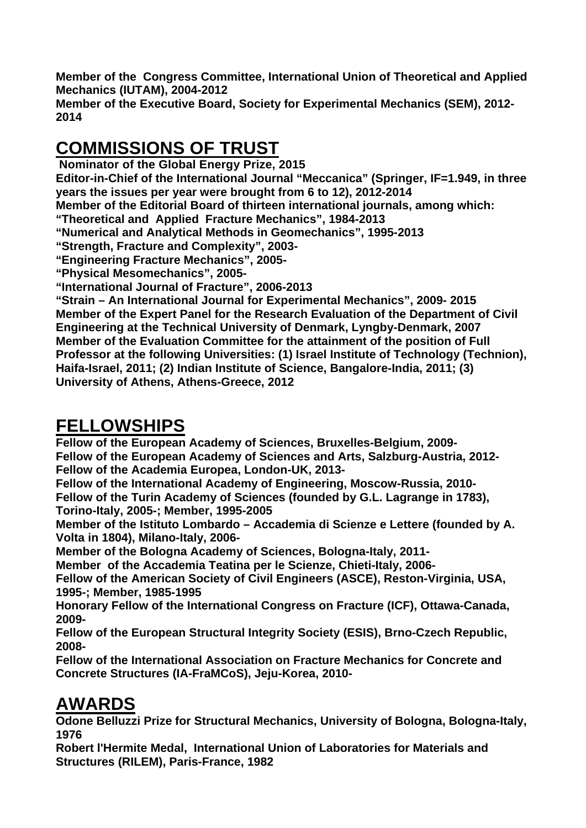**Member of the Congress Committee, International Union of Theoretical and Applied Mechanics (IUTAM), 2004-2012** 

**Member of the Executive Board, Society for Experimental Mechanics (SEM), 2012- 2014** 

# **COMMISSIONS OF TRUST**

 **Nominator of the Global Energy Prize, 2015**

**Editor-in-Chief of the International Journal "Meccanica" (Springer, IF=1.949, in three years the issues per year were brought from 6 to 12), 2012-2014** 

**Member of the Editorial Board of thirteen international journals, among which:** 

**"Theoretical and Applied Fracture Mechanics", 1984-2013** 

**"Numerical and Analytical Methods in Geomechanics", 1995-2013** 

**"Strength, Fracture and Complexity", 2003-** 

**"Engineering Fracture Mechanics", 2005-** 

**"Physical Mesomechanics", 2005-** 

**"International Journal of Fracture", 2006-2013** 

**"Strain – An International Journal for Experimental Mechanics", 2009- 2015 Member of the Expert Panel for the Research Evaluation of the Department of Civil Engineering at the Technical University of Denmark, Lyngby-Denmark, 2007 Member of the Evaluation Committee for the attainment of the position of Full Professor at the following Universities: (1) Israel Institute of Technology (Technion), Haifa-Israel, 2011; (2) Indian Institute of Science, Bangalore-India, 2011; (3) University of Athens, Athens-Greece, 2012** 

## **FELLOWSHIPS**

**Fellow of the European Academy of Sciences, Bruxelles-Belgium, 2009- Fellow of the European Academy of Sciences and Arts, Salzburg-Austria, 2012- Fellow of the Academia Europea, London-UK, 2013-** 

**Fellow of the International Academy of Engineering, Moscow-Russia, 2010- Fellow of the Turin Academy of Sciences (founded by G.L. Lagrange in 1783), Torino-Italy, 2005-; Member, 1995-2005** 

**Member of the Istituto Lombardo – Accademia di Scienze e Lettere (founded by A. Volta in 1804), Milano-Italy, 2006-** 

**Member of the Bologna Academy of Sciences, Bologna-Italy, 2011-** 

**Member of the Accademia Teatina per le Scienze, Chieti-Italy, 2006-** 

**Fellow of the American Society of Civil Engineers (ASCE), Reston-Virginia, USA, 1995-; Member, 1985-1995** 

**Honorary Fellow of the International Congress on Fracture (ICF), Ottawa-Canada, 2009-** 

**Fellow of the European Structural Integrity Society (ESIS), Brno-Czech Republic, 2008-** 

**Fellow of the International Association on Fracture Mechanics for Concrete and Concrete Structures (IA-FraMCoS), Jeju-Korea, 2010-** 

### **AWARDS**

**Odone Belluzzi Prize for Structural Mechanics, University of Bologna, Bologna-Italy, 1976** 

**Robert l'Hermite Medal, International Union of Laboratories for Materials and Structures (RILEM), Paris-France, 1982**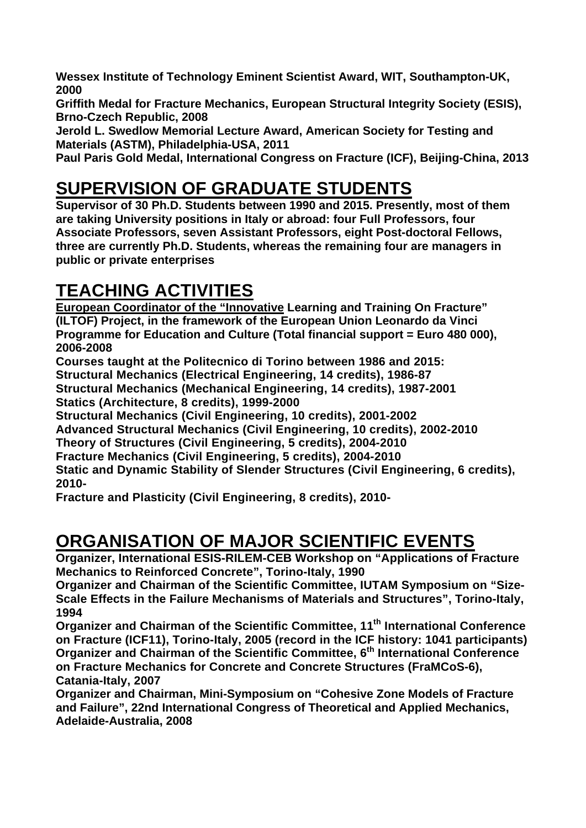**Wessex Institute of Technology Eminent Scientist Award, WIT, Southampton-UK, 2000** 

**Griffith Medal for Fracture Mechanics, European Structural Integrity Society (ESIS), Brno-Czech Republic, 2008** 

**Jerold L. Swedlow Memorial Lecture Award, American Society for Testing and Materials (ASTM), Philadelphia-USA, 2011** 

**Paul Paris Gold Medal, International Congress on Fracture (ICF), Beijing-China, 2013** 

#### **SUPERVISION OF GRADUATE STUDENTS**

**Supervisor of 30 Ph.D. Students between 1990 and 2015. Presently, most of them are taking University positions in Italy or abroad: four Full Professors, four Associate Professors, seven Assistant Professors, eight Post-doctoral Fellows, three are currently Ph.D. Students, whereas the remaining four are managers in public or private enterprises** 

# **TEACHING ACTIVITIES**

**European Coordinator of the "Innovative Learning and Training On Fracture" (ILTOF) Project, in the framework of the European Union Leonardo da Vinci Programme for Education and Culture (Total financial support = Euro 480 000), 2006-2008** 

**Courses taught at the Politecnico di Torino between 1986 and 2015: Structural Mechanics (Electrical Engineering, 14 credits), 1986-87 Structural Mechanics (Mechanical Engineering, 14 credits), 1987-2001 Statics (Architecture, 8 credits), 1999-2000** 

**Structural Mechanics (Civil Engineering, 10 credits), 2001-2002** 

**Advanced Structural Mechanics (Civil Engineering, 10 credits), 2002-2010** 

**Theory of Structures (Civil Engineering, 5 credits), 2004-2010** 

**Fracture Mechanics (Civil Engineering, 5 credits), 2004-2010** 

**Static and Dynamic Stability of Slender Structures (Civil Engineering, 6 credits), 2010-** 

**Fracture and Plasticity (Civil Engineering, 8 credits), 2010-** 

#### **ORGANISATION OF MAJOR SCIENTIFIC EVENTS**

**Organizer, International ESIS-RILEM-CEB Workshop on "Applications of Fracture Mechanics to Reinforced Concrete", Torino-Italy, 1990** 

**Organizer and Chairman of the Scientific Committee, IUTAM Symposium on "Size-Scale Effects in the Failure Mechanisms of Materials and Structures", Torino-Italy, 1994** 

**Organizer and Chairman of the Scientific Committee, 11th International Conference on Fracture (ICF11), Torino-Italy, 2005 (record in the ICF history: 1041 participants) Organizer and Chairman of the Scientific Committee, 6th International Conference on Fracture Mechanics for Concrete and Concrete Structures (FraMCoS-6), Catania-Italy, 2007** 

**Organizer and Chairman, Mini-Symposium on "Cohesive Zone Models of Fracture and Failure", 22nd International Congress of Theoretical and Applied Mechanics, Adelaide-Australia, 2008**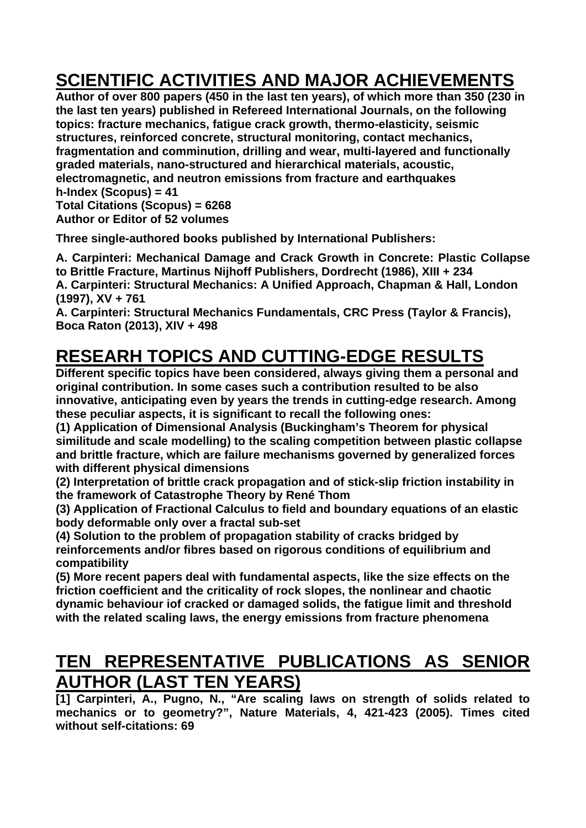# **SCIENTIFIC ACTIVITIES AND MAJOR ACHIEVEMENTS**

**Author of over 800 papers (450 in the last ten years), of which more than 350 (230 in the last ten years) published in Refereed International Journals, on the following topics: fracture mechanics, fatigue crack growth, thermo-elasticity, seismic structures, reinforced concrete, structural monitoring, contact mechanics, fragmentation and comminution, drilling and wear, multi-layered and functionally graded materials, nano-structured and hierarchical materials, acoustic, electromagnetic, and neutron emissions from fracture and earthquakes h-Index (Scopus) = 41 Total Citations (Scopus) = 6268** 

**Author or Editor of 52 volumes** 

**Three single-authored books published by International Publishers:** 

**A. Carpinteri: Mechanical Damage and Crack Growth in Concrete: Plastic Collapse to Brittle Fracture, Martinus Nijhoff Publishers, Dordrecht (1986), XIII + 234 A. Carpinteri: Structural Mechanics: A Unified Approach, Chapman & Hall, London (1997), XV + 761** 

**A. Carpinteri: Structural Mechanics Fundamentals, CRC Press (Taylor & Francis), Boca Raton (2013), XIV + 498** 

## **RESEARH TOPICS AND CUTTING-EDGE RESULTS**

**Different specific topics have been considered, always giving them a personal and original contribution. In some cases such a contribution resulted to be also innovative, anticipating even by years the trends in cutting-edge research. Among these peculiar aspects, it is significant to recall the following ones:** 

**(1) Application of Dimensional Analysis (Buckingham's Theorem for physical similitude and scale modelling) to the scaling competition between plastic collapse and brittle fracture, which are failure mechanisms governed by generalized forces with different physical dimensions** 

**(2) Interpretation of brittle crack propagation and of stick-slip friction instability in the framework of Catastrophe Theory by René Thom** 

**(3) Application of Fractional Calculus to field and boundary equations of an elastic body deformable only over a fractal sub-set** 

**(4) Solution to the problem of propagation stability of cracks bridged by reinforcements and/or fibres based on rigorous conditions of equilibrium and compatibility** 

**(5) More recent papers deal with fundamental aspects, like the size effects on the friction coefficient and the criticality of rock slopes, the nonlinear and chaotic dynamic behaviour iof cracked or damaged solids, the fatigue limit and threshold with the related scaling laws, the energy emissions from fracture phenomena** 

#### **TEN REPRESENTATIVE PUBLICATIONS AS SENIOR AUTHOR (LAST TEN YEARS)**

**[1] Carpinteri, A., Pugno, N., "Are scaling laws on strength of solids related to mechanics or to geometry?", Nature Materials, 4, 421-423 (2005). Times cited without self-citations: 69**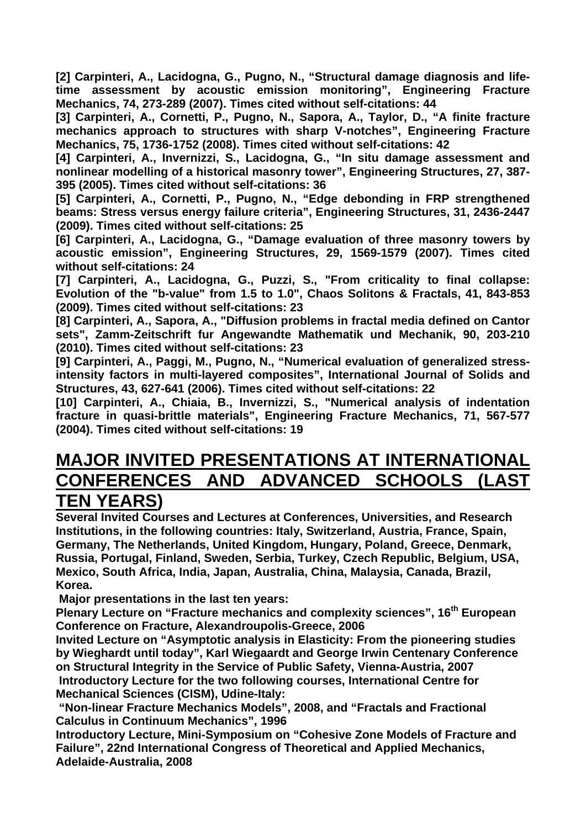**[2] Carpinteri, A., Lacidogna, G., Pugno, N., "Structural damage diagnosis and lifetime assessment by acoustic emission monitoring", Engineering Fracture Mechanics, 74, 273-289 (2007). Times cited without self-citations: 44** 

**[3] Carpinteri, A., Cornetti, P., Pugno, N., Sapora, A., Taylor, D., "A finite fracture mechanics approach to structures with sharp V-notches", Engineering Fracture Mechanics, 75, 1736-1752 (2008). Times cited without self-citations: 42** 

**[4] Carpinteri, A., Invernizzi, S., Lacidogna, G., "In situ damage assessment and nonlinear modelling of a historical masonry tower", Engineering Structures, 27, 387- 395 (2005). Times cited without self-citations: 36** 

**[5] Carpinteri, A., Cornetti, P., Pugno, N., "Edge debonding in FRP strengthened beams: Stress versus energy failure criteria", Engineering Structures, 31, 2436-2447 (2009). Times cited without self-citations: 25** 

**[6] Carpinteri, A., Lacidogna, G., "Damage evaluation of three masonry towers by acoustic emission", Engineering Structures, 29, 1569-1579 (2007). Times cited without self-citations: 24** 

**[7] Carpinteri, A., Lacidogna, G., Puzzi, S., "From criticality to final collapse: Evolution of the "b-value" from 1.5 to 1.0", Chaos Solitons & Fractals, 41, 843-853 (2009). Times cited without self-citations: 23** 

**[8] Carpinteri, A., Sapora, A., "Diffusion problems in fractal media defined on Cantor sets", Zamm-Zeitschrift fur Angewandte Mathematik und Mechanik, 90, 203-210 (2010). Times cited without self-citations: 23** 

**[9] Carpinteri, A., Paggi, M., Pugno, N., "Numerical evaluation of generalized stressintensity factors in multi-layered composites", International Journal of Solids and Structures, 43, 627-641 (2006). Times cited without self-citations: 22** 

**[10] Carpinteri, A., Chiaia, B., Invernizzi, S., "Numerical analysis of indentation fracture in quasi-brittle materials", Engineering Fracture Mechanics, 71, 567-577 (2004). Times cited without self-citations: 19** 

#### **MAJOR INVITED PRESENTATIONS AT INTERNATIONAL CONFERENCES AND ADVANCED SCHOOLS (LAST TEN YEARS)**

**Several Invited Courses and Lectures at Conferences, Universities, and Research Institutions, in the following countries: Italy, Switzerland, Austria, France, Spain, Germany, The Netherlands, United Kingdom, Hungary, Poland, Greece, Denmark, Russia, Portugal, Finland, Sweden, Serbia, Turkey, Czech Republic, Belgium, USA, Mexico, South Africa, India, Japan, Australia, China, Malaysia, Canada, Brazil, Korea.** 

 **Major presentations in the last ten years:** 

**Plenary Lecture on "Fracture mechanics and complexity sciences", 16th European Conference on Fracture, Alexandroupolis-Greece, 2006** 

**Invited Lecture on "Asymptotic analysis in Elasticity: From the pioneering studies by Wieghardt until today", Karl Wiegaardt and George Irwin Centenary Conference on Structural Integrity in the Service of Public Safety, Vienna-Austria, 2007 Introductory Lecture for the two following courses, International Centre for Mechanical Sciences (CISM), Udine-Italy:** 

 **"Non-linear Fracture Mechanics Models", 2008, and "Fractals and Fractional Calculus in Continuum Mechanics", 1996** 

**Introductory Lecture, Mini-Symposium on "Cohesive Zone Models of Fracture and Failure", 22nd International Congress of Theoretical and Applied Mechanics, Adelaide-Australia, 2008**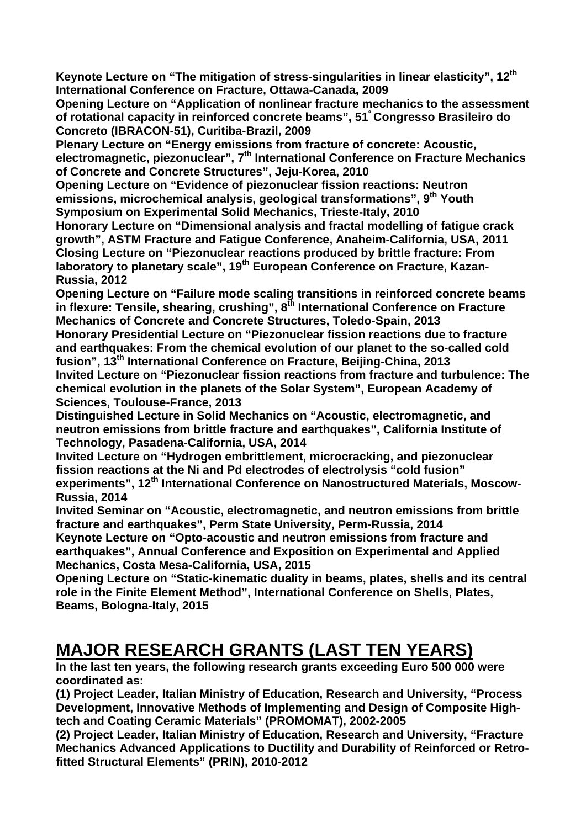**Keynote Lecture on "The mitigation of stress-singularities in linear elasticity", 12th International Conference on Fracture, Ottawa-Canada, 2009** 

**Opening Lecture on "Application of nonlinear fracture mechanics to the assessment of rotational capacity in reinforced concrete beams", 51° Congresso Brasileiro do Concreto (IBRACON-51), Curitiba-Brazil, 2009** 

**Plenary Lecture on "Energy emissions from fracture of concrete: Acoustic, electromagnetic, piezonuclear", 7th International Conference on Fracture Mechanics of Concrete and Concrete Structures", Jeju-Korea, 2010** 

**Opening Lecture on "Evidence of piezonuclear fission reactions: Neutron emissions, microchemical analysis, geological transformations", 9th Youth Symposium on Experimental Solid Mechanics, Trieste-Italy, 2010** 

**Honorary Lecture on "Dimensional analysis and fractal modelling of fatigue crack growth", ASTM Fracture and Fatigue Conference, Anaheim-California, USA, 2011 Closing Lecture on "Piezonuclear reactions produced by brittle fracture: From laboratory to planetary scale", 19th European Conference on Fracture, Kazan-Russia, 2012** 

**Opening Lecture on "Failure mode scaling transitions in reinforced concrete beams**  in flexure: Tensile, shearing, crushing", 8<sup>th</sup> International Conference on Fracture **Mechanics of Concrete and Concrete Structures, Toledo-Spain, 2013** 

**Honorary Presidential Lecture on "Piezonuclear fission reactions due to fracture**  and earthquakes: From the chemical evolution of our planet to the so-called cold **fusion", 13th International Conference on Fracture, Beijing-China, 2013** 

**Invited Lecture on "Piezonuclear fission reactions from fracture and turbulence: The chemical evolution in the planets of the Solar System", European Academy of Sciences, Toulouse-France, 2013** 

**Distinguished Lecture in Solid Mechanics on "Acoustic, electromagnetic, and neutron emissions from brittle fracture and earthquakes", California Institute of Technology, Pasadena-California, USA, 2014** 

**Invited Lecture on "Hydrogen embrittlement, microcracking, and piezonuclear fission reactions at the Ni and Pd electrodes of electrolysis "cold fusion"** 

experiments", 12<sup>th</sup> International Conference on Nanostructured Materials, Moscow-**Russia, 2014** 

**Invited Seminar on "Acoustic, electromagnetic, and neutron emissions from brittle fracture and earthquakes", Perm State University, Perm-Russia, 2014** 

**Keynote Lecture on "Opto-acoustic and neutron emissions from fracture and earthquakes", Annual Conference and Exposition on Experimental and Applied Mechanics, Costa Mesa-California, USA, 2015** 

**Opening Lecture on "Static-kinematic duality in beams, plates, shells and its central role in the Finite Element Method", International Conference on Shells, Plates, Beams, Bologna-Italy, 2015** 

### **MAJOR RESEARCH GRANTS (LAST TEN YEARS)**

**In the last ten years, the following research grants exceeding Euro 500 000 were coordinated as:** 

**(1) Project Leader, Italian Ministry of Education, Research and University, "Process Development, Innovative Methods of Implementing and Design of Composite Hightech and Coating Ceramic Materials" (PROMOMAT), 2002-2005** 

**(2) Project Leader, Italian Ministry of Education, Research and University, "Fracture Mechanics Advanced Applications to Ductility and Durability of Reinforced or Retrofitted Structural Elements" (PRIN), 2010-2012**